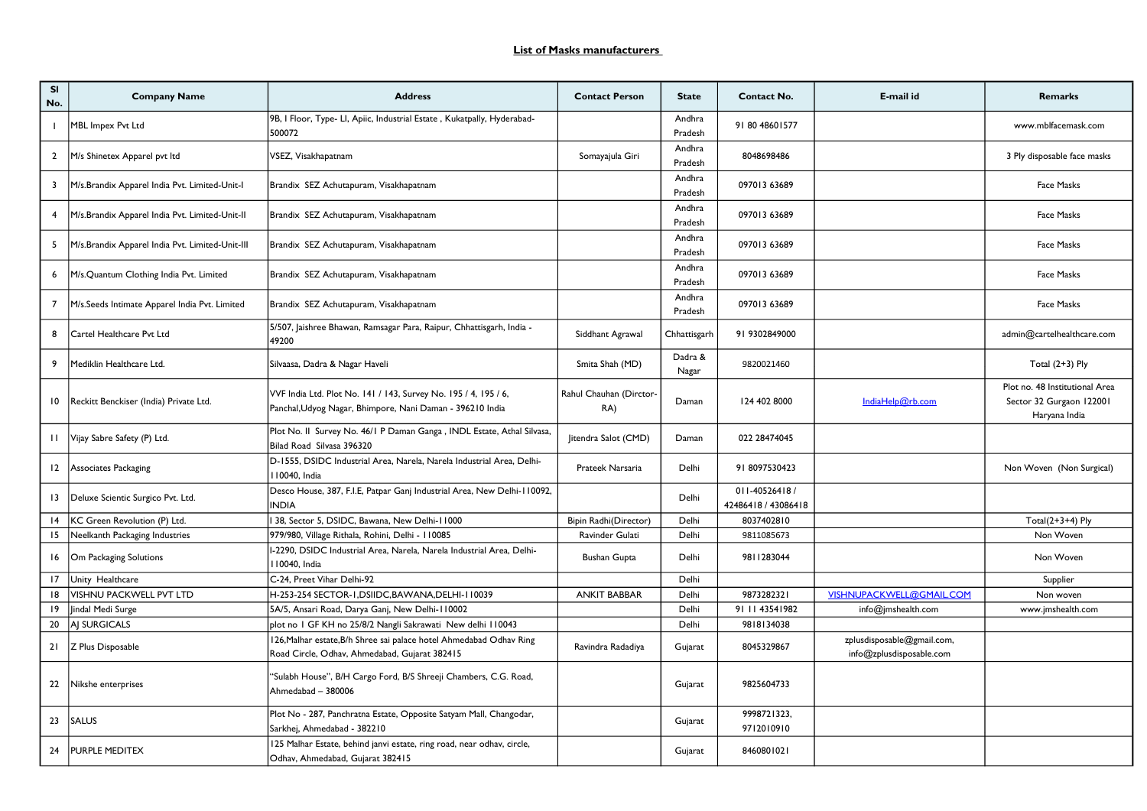| <b>SI</b><br>No. | <b>Company Name</b>                             | <b>Address</b>                                                                                                               | <b>Contact Person</b>          | <b>State</b>      | Contact No.                           | E-mail id                                              | <b>Remarks</b>                                                              |
|------------------|-------------------------------------------------|------------------------------------------------------------------------------------------------------------------------------|--------------------------------|-------------------|---------------------------------------|--------------------------------------------------------|-----------------------------------------------------------------------------|
|                  | MBL Impex Pvt Ltd                               | 9B, I Floor, Type- LI, Apiic, Industrial Estate, Kukatpally, Hyderabad-<br>500072                                            |                                | Andhra<br>Pradesh | 91 80 4860 1577                       |                                                        | www.mblfacemask.com                                                         |
| $\mathbf{2}$     | M/s Shinetex Apparel pvt Itd                    | VSEZ, Visakhapatnam                                                                                                          | Somayajula Giri                | Andhra<br>Pradesh | 8048698486                            |                                                        | 3 Ply disposable face masks                                                 |
| 3                | M/s.Brandix Apparel India Pvt. Limited-Unit-I   | Brandix SEZ Achutapuram, Visakhapatnam                                                                                       |                                | Andhra<br>Pradesh | 097013 63689                          |                                                        | Face Masks                                                                  |
| 4                | M/s.Brandix Apparel India Pvt. Limited-Unit-II  | Brandix SEZ Achutapuram, Visakhapatnam                                                                                       |                                | Andhra<br>Pradesh | 097013 63689                          |                                                        | Face Masks                                                                  |
| 5                | M/s.Brandix Apparel India Pvt. Limited-Unit-III | Brandix SEZ Achutapuram, Visakhapatnam                                                                                       |                                | Andhra<br>Pradesh | 097013 63689                          |                                                        | Face Masks                                                                  |
| 6                | M/s.Quantum Clothing India Pvt. Limited         | Brandix SEZ Achutapuram, Visakhapatnam                                                                                       |                                | Andhra<br>Pradesh | 097013 63689                          |                                                        | Face Masks                                                                  |
| 7                | M/s.Seeds Intimate Apparel India Pvt. Limited   | Brandix SEZ Achutapuram, Visakhapatnam                                                                                       |                                | Andhra<br>Pradesh | 097013 63689                          |                                                        | Face Masks                                                                  |
| 8                | Cartel Healthcare Pvt Ltd                       | 5/507, Jaishree Bhawan, Ramsagar Para, Raipur, Chhattisgarh, India -<br>49200                                                | Siddhant Agrawal               | Chhattisgarh      | 91 9302849000                         |                                                        | admin@cartelhealthcare.com                                                  |
| 9                | Mediklin Healthcare Ltd.                        | Silvaasa, Dadra & Nagar Haveli                                                                                               | Smita Shah (MD)                | Dadra &<br>Nagar  | 9820021460                            |                                                        | Total $(2+3)$ Ply                                                           |
| 10               | Reckitt Benckiser (India) Private Ltd.          | VVF India Ltd. Plot No. 141 / 143, Survey No. 195 / 4, 195 / 6,<br>Panchal, Udyog Nagar, Bhimpore, Nani Daman - 396210 India | Rahul Chauhan (Dirctor-<br>RA) | Daman             | 124 402 8000                          | IndiaHelp@rb.com                                       | Plot no. 48 Institutional Area<br>Sector 32 Gurgaon 122001<br>Haryana India |
|                  | II   Vijay Sabre Safety (P) Ltd.                | Plot No. II Survey No. 46/1 P Daman Ganga, INDL Estate, Athal Silvasa,<br>Bilad Road Silvasa 396320                          | Jitendra Salot (CMD)           | Daman             | 022 28474045                          |                                                        |                                                                             |
| 12               | Associates Packaging                            | D-1555, DSIDC Industrial Area, Narela, Narela Industrial Area, Delhi-<br>110040, India                                       | Prateek Narsaria               | Delhi             | 918097530423                          |                                                        | Non Woven (Non Surgical)                                                    |
| 13               | Deluxe Scientic Surgico Pvt. Ltd.               | Desco House, 387, F.I.E, Patpar Ganj Industrial Area, New Delhi-110092,<br><b>INDIA</b>                                      |                                | Delhi             | 011-40526418 /<br>42486418 / 43086418 |                                                        |                                                                             |
| 14               | KC Green Revolution (P) Ltd.                    | 38, Sector 5, DSIDC, Bawana, New Delhi-11000                                                                                 | Bipin Radhi(Director)          | Delhi             | 8037402810                            |                                                        | Total $(2+3+4)$ Ply                                                         |
| 15               | Neelkanth Packaging Industries                  | 979/980, Village Rithala, Rohini, Delhi - 110085                                                                             | Ravinder Gulati                | Delhi             | 9811085673                            |                                                        | Non Woven                                                                   |
| 16               | Om Packaging Solutions                          | I-2290, DSIDC Industrial Area, Narela, Narela Industrial Area, Delhi-<br>I 10040, India                                      | <b>Bushan Gupta</b>            | Delhi             | 9811283044                            |                                                        | Non Woven                                                                   |
| 17               | Unity Healthcare                                | C-24, Preet Vihar Delhi-92                                                                                                   |                                | Delhi             |                                       |                                                        | Supplier                                                                    |
| 18               | VISHNU PACKWELL PVT LTD                         | H-253-254 SECTOR-1, DSIIDC, BAWANA, DELHI-110039                                                                             | <b>ANKIT BABBAR</b>            | Delhi             | 9873282321                            | VISHNUPACKWELL@GMAIL.COM                               | Non woven                                                                   |
| 19               | Jindal Medi Surge                               | 5A/5, Ansari Road, Darya Ganj, New Delhi-110002                                                                              |                                | Delhi             | 91 11 43541982                        | info@jmshealth.com                                     | www.jmshealth.com                                                           |
| 20               | AJ SURGICALS                                    | plot no I GF KH no 25/8/2 Nangli Sakrawati New delhi 110043                                                                  |                                | Delhi             | 9818134038                            |                                                        |                                                                             |
| 21               | Z Plus Disposable                               | 126, Malhar estate, B/h Shree sai palace hotel Ahmedabad Odhav Ring<br>Road Circle, Odhav, Ahmedabad, Gujarat 382415         | Ravindra Radadiya              | Gujarat           | 8045329867                            | zplusdisposable@gmail.com,<br>info@zplusdisposable.com |                                                                             |
| 22               | Nikshe enterprises                              | "Sulabh House", B/H Cargo Ford, B/S Shreeji Chambers, C.G. Road,<br>Ahmedabad - 380006                                       |                                | Gujarat           | 9825604733                            |                                                        |                                                                             |
| 23               | <b>SALUS</b>                                    | Plot No - 287, Panchratna Estate, Opposite Satyam Mall, Changodar,<br>Sarkhej, Ahmedabad - 382210                            |                                | Gujarat           | 9998721323,<br>9712010910             |                                                        |                                                                             |
| 24               | <b>PURPLE MEDITEX</b>                           | 125 Malhar Estate, behind janvi estate, ring road, near odhav, circle,<br>Odhav, Ahmedabad, Gujarat 382415                   |                                | Gujarat           | 8460801021                            |                                                        |                                                                             |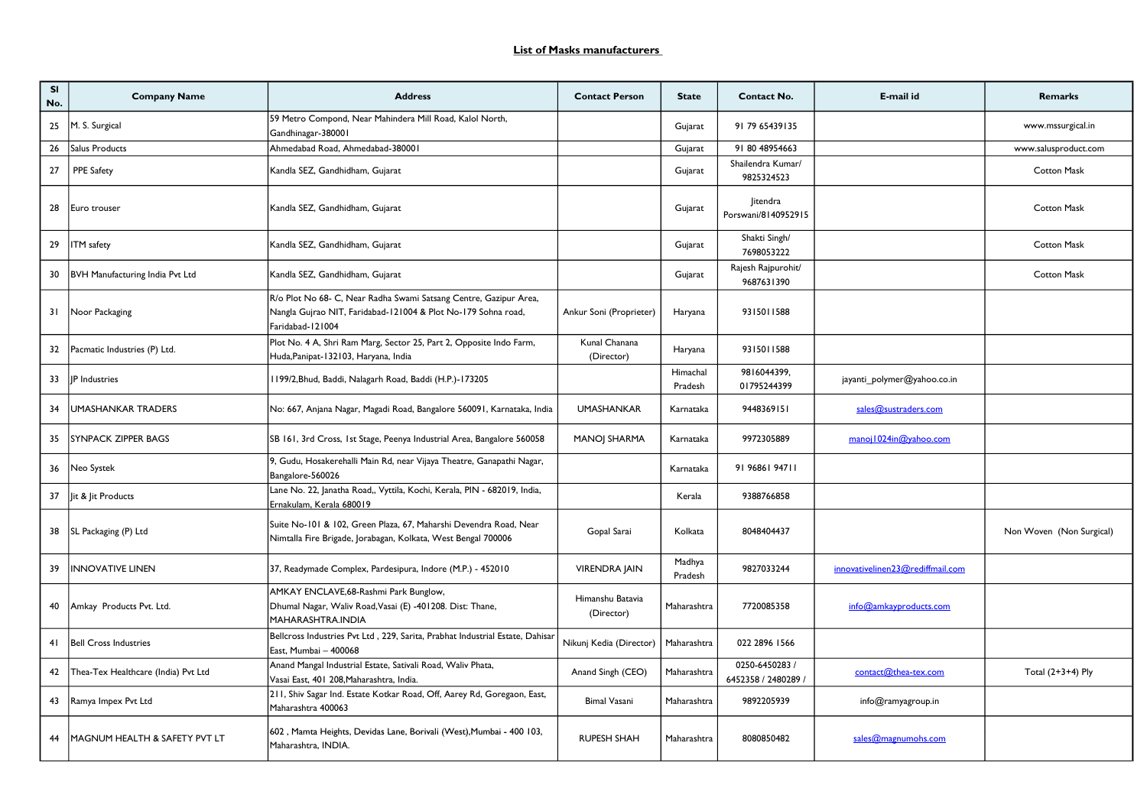| SI<br>No. | <b>Company Name</b>                 | <b>Address</b>                                                                                                                                         | <b>Contact Person</b>          | <b>State</b>        | Contact No.                         | E-mail id                        | <b>Remarks</b>           |
|-----------|-------------------------------------|--------------------------------------------------------------------------------------------------------------------------------------------------------|--------------------------------|---------------------|-------------------------------------|----------------------------------|--------------------------|
| 25        | M. S. Surgical                      | 59 Metro Compond, Near Mahindera Mill Road, Kalol North,<br>Gandhinagar-380001                                                                         |                                | Gujarat             | 91 79 65439135                      |                                  | www.mssurgical.in        |
| 26        | Salus Products                      | Ahmedabad Road, Ahmedabad-380001                                                                                                                       |                                | Gujarat             | 91 80 48954663                      |                                  | www.salusproduct.com     |
| 27        | <b>PPE Safety</b>                   | Kandla SEZ, Gandhidham, Gujarat                                                                                                                        |                                | Gujarat             | Shailendra Kumar/<br>9825324523     |                                  | Cotton Mask              |
| 28        | Euro trouser                        | Kandla SEZ, Gandhidham, Gujarat                                                                                                                        |                                | Gujarat             | litendra<br>Porswani/8140952915     |                                  | <b>Cotton Mask</b>       |
| 29        | <b>ITM</b> safety                   | Kandla SEZ, Gandhidham, Gujarat                                                                                                                        |                                | Gujarat             | Shakti Singh/<br>7698053222         |                                  | <b>Cotton Mask</b>       |
| 30        | BVH Manufacturing India Pvt Ltd     | Kandla SEZ, Gandhidham, Gujarat                                                                                                                        |                                | Gujarat             | Rajesh Rajpurohit/<br>9687631390    |                                  | Cotton Mask              |
| 31        | Noor Packaging                      | R/o Plot No 68- C, Near Radha Swami Satsang Centre, Gazipur Area,<br>Nangla Gujrao NIT, Faridabad-121004 & Plot No-179 Sohna road,<br>Faridabad-121004 | Ankur Soni (Proprieter)        | Haryana             | 9315011588                          |                                  |                          |
| 32        | Pacmatic Industries (P) Ltd.        | Plot No. 4 A, Shri Ram Marg, Sector 25, Part 2, Opposite Indo Farm,<br>Huda, Panipat-132103, Haryana, India                                            | Kunal Chanana<br>(Director)    | Haryana             | 9315011588                          |                                  |                          |
| 33        | JP Industries                       | I 199/2, Bhud, Baddi, Nalagarh Road, Baddi (H.P.)-173205                                                                                               |                                | Himachal<br>Pradesh | 9816044399,<br>01795244399          | jayanti_polymer@yahoo.co.in      |                          |
| 34        | UMASHANKAR TRADERS                  | No: 667, Anjana Nagar, Magadi Road, Bangalore 560091, Karnataka, India                                                                                 | <b>UMASHANKAR</b>              | Karnataka           | 9448369151                          | sales@sustraders.com             |                          |
| 35        | <b>ISYNPACK ZIPPER BAGS</b>         | SB 161, 3rd Cross, 1st Stage, Peenya Industrial Area, Bangalore 560058                                                                                 | <b>MANOI SHARMA</b>            | Karnataka           | 9972305889                          | manoj 1024in@yahoo.com           |                          |
| 36        | Neo Systek                          | 9, Gudu, Hosakerehalli Main Rd, near Vijaya Theatre, Ganapathi Nagar,<br>Bangalore-560026                                                              |                                | Karnataka           | 91 96861 94711                      |                                  |                          |
| 37        | it & lit Products                   | Lane No. 22, Janatha Road,, Vyttila, Kochi, Kerala, PIN - 682019, India,<br>Ernakulam, Kerala 680019                                                   |                                | Kerala              | 9388766858                          |                                  |                          |
|           | 38   SL Packaging (P) Ltd           | Suite No-101 & 102, Green Plaza, 67, Maharshi Devendra Road, Near<br>Nimtalla Fire Brigade, Jorabagan, Kolkata, West Bengal 700006                     | Gopal Sarai                    | Kolkata             | 8048404437                          |                                  | Non Woven (Non Surgical) |
| 39        | <b>INNOVATIVE LINEN</b>             | 37, Readymade Complex, Pardesipura, Indore (M.P.) - 452010                                                                                             | <b>VIRENDRA JAIN</b>           | Madhya<br>Pradesh   | 9827033244                          | innovativelinen23@rediffmail.com |                          |
| 40        | Amkay Products Pvt. Ltd.            | AMKAY ENCLAVE, 68-Rashmi Park Bunglow,<br>Dhumal Nagar, Waliv Road, Vasai (E) -401208. Dist: Thane,<br>MAHARASHTRA.INDIA                               | Himanshu Batavia<br>(Director) | Maharashtra         | 7720085358                          | info@amkayproducts.com           |                          |
| 41        | <b>Bell Cross Industries</b>        | Bellcross Industries Pvt Ltd, 229, Sarita, Prabhat Industrial Estate, Dahisar<br>East, Mumbai - 400068                                                 | Nikunj Kedia (Director)        | Maharashtra         | 022 2896 1566                       |                                  |                          |
| 42        | Thea-Tex Healthcare (India) Pvt Ltd | Anand Mangal Industrial Estate, Sativali Road, Waliv Phata,<br>Vasai East, 401 208, Maharashtra, India.                                                | Anand Singh (CEO)              | Maharashtra         | 0250-6450283 /<br>6452358 / 2480289 | contact@thea-tex.com             | Total $(2+3+4)$ Ply      |
| 43        | Ramya Impex Pvt Ltd                 | 211, Shiv Sagar Ind. Estate Kotkar Road, Off, Aarey Rd, Goregaon, East,<br>Maharashtra 400063                                                          | <b>Bimal Vasani</b>            | Maharashtra         | 9892205939                          | info@ramyagroup.in               |                          |
| 44        | MAGNUM HEALTH & SAFETY PVT LT       | 602, Mamta Heights, Devidas Lane, Borivali (West), Mumbai - 400 103,<br>Maharashtra, INDIA.                                                            | <b>RUPESH SHAH</b>             | Maharashtra         | 8080850482                          | sales@magnumohs.com              |                          |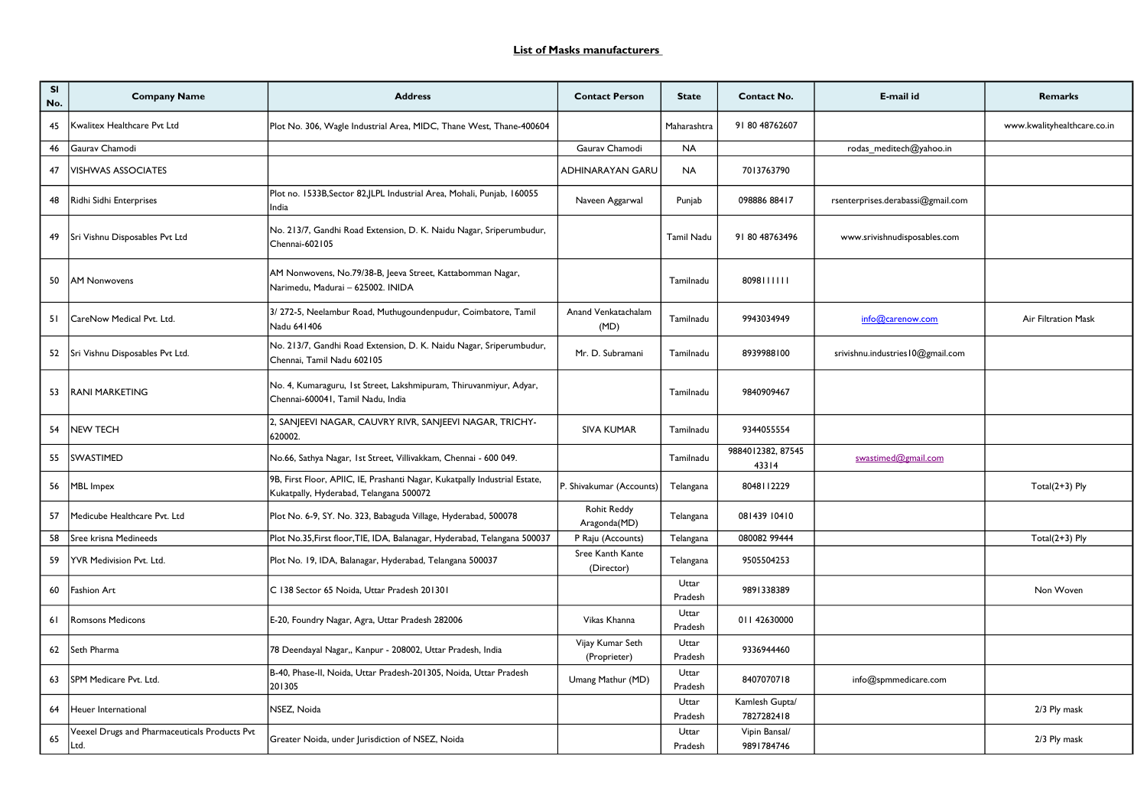| <b>SI</b><br>No. | <b>Company Name</b>                                   | <b>Address</b>                                                                                                        | <b>Contact Person</b>              | <b>State</b>     | <b>Contact No.</b>           | E-mail id                         | Remarks                     |
|------------------|-------------------------------------------------------|-----------------------------------------------------------------------------------------------------------------------|------------------------------------|------------------|------------------------------|-----------------------------------|-----------------------------|
| 45               | Kwalitex Healthcare Pvt Ltd                           | Plot No. 306, Wagle Industrial Area, MIDC, Thane West, Thane-400604                                                   |                                    | Maharashtra      | 91 80 48762607               |                                   | www.kwalityhealthcare.co.in |
| 46               | Gaurav Chamodi                                        |                                                                                                                       | Gaurav Chamodi                     | <b>NA</b>        |                              | rodas meditech@yahoo.in           |                             |
| 47               | <b>VISHWAS ASSOCIATES</b>                             |                                                                                                                       | <b>ADHINARAYAN GARU</b>            | <b>NA</b>        | 7013763790                   |                                   |                             |
| 48               | Ridhi Sidhi Enterprises                               | Plot no. 1533B, Sector 82, JLPL Industrial Area, Mohali, Punjab, 160055<br>India                                      | Naveen Aggarwal                    | Punjab           | 098886 88417                 | rsenterprises.derabassi@gmail.com |                             |
| 49               | Sri Vishnu Disposables Pvt Ltd                        | No. 213/7, Gandhi Road Extension, D. K. Naidu Nagar, Sriperumbudur,<br>Chennai-602105                                 |                                    | Tamil Nadu       | 91 80 48763496               | www.srivishnudisposables.com      |                             |
| 50               | <b>AM Nonwovens</b>                                   | AM Nonwovens, No.79/38-B, Jeeva Street, Kattabomman Nagar,<br>Narimedu, Madurai - 625002. INIDA                       |                                    | Tamilnadu        | 8098111111                   |                                   |                             |
| -51              | CareNow Medical Pvt. Ltd.                             | 3/272-5, Neelambur Road, Muthugoundenpudur, Coimbatore, Tamil<br>Nadu 641406                                          | Anand Venkatachalam<br>(MD)        | Tamilnadu        | 9943034949                   | info@carenow.com                  | Air Filtration Mask         |
| 52               | Sri Vishnu Disposables Pvt Ltd.                       | No. 213/7, Gandhi Road Extension, D. K. Naidu Nagar, Sriperumbudur,<br>Chennai, Tamil Nadu 602105                     | Mr. D. Subramani                   | Tamilnadu        | 8939988100                   | srivishnu.industries I0@gmail.com |                             |
| 53               | <b>RANI MARKETING</b>                                 | No. 4, Kumaraguru, 1st Street, Lakshmipuram, Thiruvanmiyur, Adyar,<br>Chennai-600041, Tamil Nadu, India               |                                    | Tamilnadu        | 9840909467                   |                                   |                             |
| 54               | <b>NEW TECH</b>                                       | 2, SANJEEVI NAGAR, CAUVRY RIVR, SANJEEVI NAGAR, TRICHY-<br>620002.                                                    | <b>SIVA KUMAR</b>                  | Tamilnadu        | 9344055554                   |                                   |                             |
| 55               | <b>SWASTIMED</b>                                      | No.66, Sathya Nagar, 1st Street, Villivakkam, Chennai - 600 049.                                                      |                                    | Tamilnadu        | 9884012382, 87545<br>43314   | swastimed@gmail.com               |                             |
| 56               | MBL Impex                                             | 9B, First Floor, APIIC, IE, Prashanti Nagar, Kukatpally Industrial Estate,<br>Kukatpally, Hyderabad, Telangana 500072 | P. Shivakumar (Accounts)           | Telangana        | 8048112229                   |                                   | Total $(2+3)$ Ply           |
| 57               | Medicube Healthcare Pvt. Ltd                          | Plot No. 6-9, SY. No. 323, Babaguda Village, Hyderabad, 500078                                                        | <b>Rohit Reddy</b><br>Aragonda(MD) | Telangana        | 081439 10410                 |                                   |                             |
| 58               | Sree krisna Medineeds                                 | Plot No.35, First floor, TIE, IDA, Balanagar, Hyderabad, Telangana 500037                                             | P Raju (Accounts)                  | Telangana        | 080082 99444                 |                                   | Total $(2+3)$ Ply           |
| 59               | YVR Medivision Pvt. Ltd.                              | Plot No. 19, IDA, Balanagar, Hyderabad, Telangana 500037                                                              | Sree Kanth Kante<br>(Director)     | Telangana        | 9505504253                   |                                   |                             |
| 60               | <b>Fashion Art</b>                                    | C 138 Sector 65 Noida, Uttar Pradesh 201301                                                                           |                                    | Uttar<br>Pradesh | 9891338389                   |                                   | Non Woven                   |
| 61               | <b>Romsons Medicons</b>                               | E-20, Foundry Nagar, Agra, Uttar Pradesh 282006                                                                       | Vikas Khanna                       | Uttar<br>Pradesh | 011 42630000                 |                                   |                             |
| 62               | lSeth Pharma                                          | 78 Deendayal Nagar,, Kanpur - 208002, Uttar Pradesh, India                                                            | Vijay Kumar Seth<br>(Proprieter)   | Uttar<br>Pradesh | 9336944460                   |                                   |                             |
| 63               | SPM Medicare Pvt. Ltd.                                | B-40, Phase-II, Noida, Uttar Pradesh-201305, Noida, Uttar Pradesh<br>201305                                           | Umang Mathur (MD)                  | Uttar<br>Pradesh | 8407070718                   | info@spmmedicare.com              |                             |
| 64               | Heuer International                                   | NSEZ, Noida                                                                                                           |                                    | Uttar<br>Pradesh | Kamlesh Gupta/<br>7827282418 |                                   | 2/3 Ply mask                |
| 65               | Veexel Drugs and Pharmaceuticals Products Pvt<br>Ltd. | Greater Noida, under Jurisdiction of NSEZ, Noida                                                                      |                                    | Uttar<br>Pradesh | Vipin Bansal/<br>9891784746  |                                   | 2/3 Ply mask                |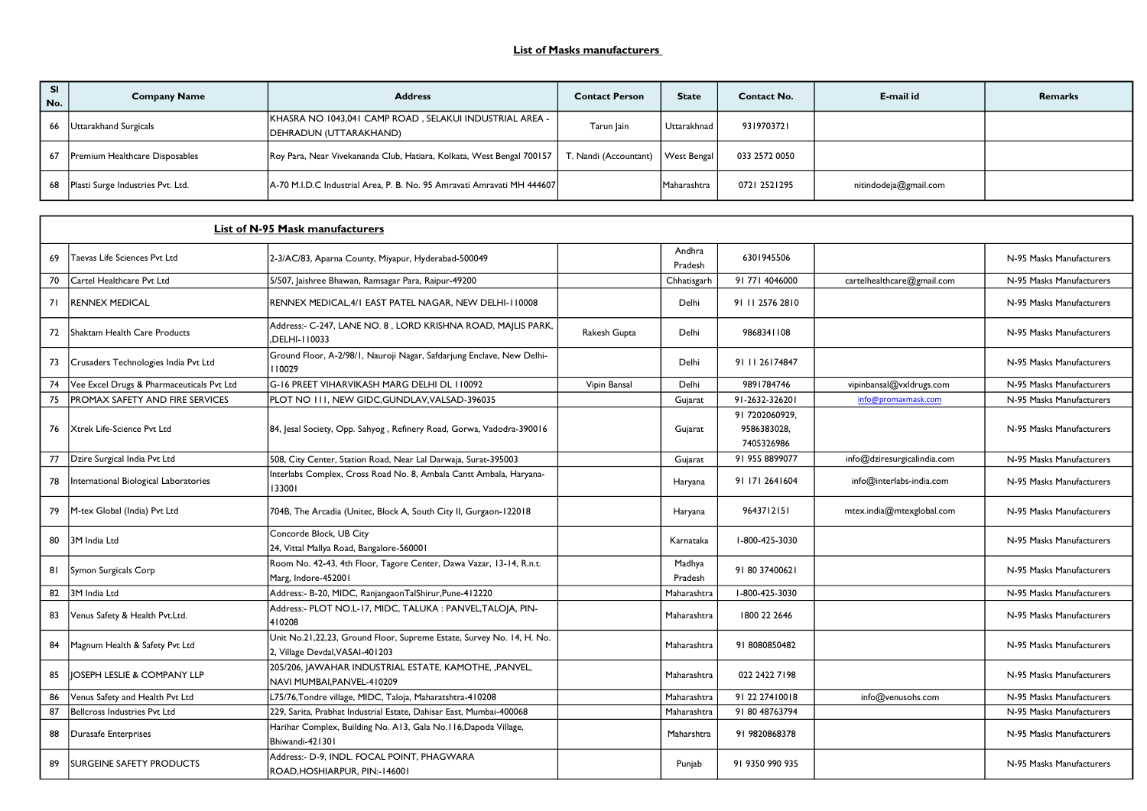| No. | <b>Company Name</b>                    | <b>Address</b>                                                                    | <b>Contact Person</b>            | <b>State</b>       | <b>Contact No.</b> | E-mail id             | <b>Remarks</b> |
|-----|----------------------------------------|-----------------------------------------------------------------------------------|----------------------------------|--------------------|--------------------|-----------------------|----------------|
| 66  | Uttarakhand Surgicals                  | KHASRA NO 1043,041 CAMP ROAD, SELAKUI INDUSTRIAL AREA -<br>DEHRADUN (UTTARAKHAND) | Tarun lain                       | Uttarakhnad        | 9319703721         |                       |                |
|     | Premium Healthcare Disposables         | Roy Para, Near Vivekananda Club, Hatiara, Kolkata, West Bengal 700157             | Nandi (Accountant)   West Bengal |                    | 033 2572 0050      |                       |                |
|     | 68   Plasti Surge Industries Pvt. Ltd. | A-70 M.I.D.C Industrial Area, P. B. No. 95 Amravati Amravati MH 444607            |                                  | <b>Maharashtra</b> | 0721 2521295       | nitindodeja@gmail.com |                |

|    | List of N-95 Mask manufacturers           |                                                                                                            |              |                   |                                             |                             |                          |  |  |
|----|-------------------------------------------|------------------------------------------------------------------------------------------------------------|--------------|-------------------|---------------------------------------------|-----------------------------|--------------------------|--|--|
| 69 | Taevas Life Sciences Pyt Ltd              | 2-3/AC/83, Aparna County, Miyapur, Hyderabad-500049                                                        |              | Andhra<br>Pradesh | 6301945506                                  |                             | N-95 Masks Manufacturers |  |  |
| 70 | Cartel Healthcare Pvt Ltd                 | 5/507, Jaishree Bhawan, Ramsagar Para, Raipur-49200                                                        |              | Chhatisgarh       | 91 771 4046000                              | cartelhealthcare@gmail.com  | N-95 Masks Manufacturers |  |  |
| 71 | <b>RENNEX MEDICAL</b>                     | RENNEX MEDICAL.4/1 EAST PATEL NAGAR. NEW DELHI-110008                                                      |              | Delhi             | 91 11 2576 2810                             |                             | N-95 Masks Manufacturers |  |  |
| 72 | Shaktam Health Care Products              | Address:- C-247, LANE NO. 8, LORD KRISHNA ROAD, MAJLIS PARK,<br>.DELHI-110033                              | Rakesh Gupta | Delhi             | 9868341108                                  |                             | N-95 Masks Manufacturers |  |  |
| 73 | Crusaders Technologies India Pvt Ltd      | Ground Floor, A-2/98/1, Nauroji Nagar, Safdarjung Enclave, New Delhi-<br>110029                            |              | Delhi             | 91 11 26174847                              |                             | N-95 Masks Manufacturers |  |  |
| 74 | Vee Excel Drugs & Pharmaceuticals Pvt Ltd | G-16 PREET VIHARVIKASH MARG DELHI DL 110092                                                                | Vipin Bansal | Delhi             | 9891784746                                  | vipinbansal@vxldrugs.com    | N-95 Masks Manufacturers |  |  |
| 75 | <b>PROMAX SAFETY AND FIRE SERVICES</b>    | PLOT NO III, NEW GIDC, GUNDLAV, VALSAD-396035                                                              |              | Gujarat           | 91-2632-326201                              | info@promaxmask.com         | N-95 Masks Manufacturers |  |  |
| 76 | Xtrek Life-Science Pvt Ltd                | 84, Jesal Society, Opp. Sahyog, Refinery Road, Gorwa, Vadodra-390016                                       |              | Gujarat           | 91 7202060929,<br>9586383028,<br>7405326986 |                             | N-95 Masks Manufacturers |  |  |
| 77 | Dzire Surgical India Pvt Ltd              | 508, City Center, Station Road, Near Lal Darwaja, Surat-395003                                             |              | Gujarat           | 91 955 8899077                              | info@dziresurgicalindia.com | N-95 Masks Manufacturers |  |  |
| 78 | International Biological Laboratories     | Interlabs Complex, Cross Road No. 8, Ambala Cantt Ambala, Haryana-<br>133001                               |              | Haryana           | 91 171 264 1604                             | info@interlabs-india.com    | N-95 Masks Manufacturers |  |  |
| 79 | M-tex Global (India) Pvt Ltd              | 704B, The Arcadia (Unitec, Block A, South City II, Gurgaon-122018                                          |              | Haryana           | 9643712151                                  | mtex.india@mtexglobal.com   | N-95 Masks Manufacturers |  |  |
| 80 | 3M India Ltd                              | Concorde Block, UB City<br>24, Vittal Mallya Road, Bangalore-560001                                        |              | Karnataka         | I-800-425-3030                              |                             | N-95 Masks Manufacturers |  |  |
| 81 | Symon Surgicals Corp                      | Room No. 42-43, 4th Floor, Tagore Center, Dawa Vazar, 13-14, R.n.t.<br>Marg, Indore-452001                 |              | Madhya<br>Pradesh | 91 80 37400621                              |                             | N-95 Masks Manufacturers |  |  |
| 82 | 3M India Ltd                              | Address:- B-20, MIDC, RanjangaonTalShirur, Pune-412220                                                     |              | Maharashtra       | I-800-425-3030                              |                             | N-95 Masks Manufacturers |  |  |
| 83 | Venus Safety & Health Pvt.Ltd.            | Address:- PLOT NO.L-17, MIDC, TALUKA : PANVEL, TALOJA, PIN-<br>410208                                      |              | Maharashtra       | 1800 22 2646                                |                             | N-95 Masks Manufacturers |  |  |
| 84 | Magnum Health & Safety Pvt Ltd            | Unit No.21, 22, 23, Ground Floor, Supreme Estate, Survey No. 14, H. No.<br>2, Village Devdal, VASAI-401203 |              | Maharashtra       | 91 8080850482                               |                             | N-95 Masks Manufacturers |  |  |
| 85 | <b>JOSEPH LESLIE &amp; COMPANY LLP</b>    | 205/206, JAWAHAR INDUSTRIAL ESTATE, KAMOTHE, ,PANVEL,<br>NAVI MUMBAI, PANVEL-410209                        |              | Maharashtra       | 022 2422 7198                               |                             | N-95 Masks Manufacturers |  |  |
| 86 | Venus Safety and Health Pvt Ltd           | L75/76, Tondre village, MIDC, Taloja, Maharatshtra-410208                                                  |              | Maharashtra       | 91 22 274 10018                             | info@venusohs.com           | N-95 Masks Manufacturers |  |  |
| 87 | Bellcross Industries Pvt Ltd              | 229, Sarita, Prabhat Industrial Estate, Dahisar East, Mumbai-400068                                        |              | Maharashtra       | 91 80 48763794                              |                             | N-95 Masks Manufacturers |  |  |
| 88 | Durasafe Enterprises                      | Harihar Complex, Building No. A13, Gala No.116, Dapoda Village,<br>Bhiwandi-421301                         |              | Maharshtra        | 91 9820868378                               |                             | N-95 Masks Manufacturers |  |  |
| 89 | <b>SURGEINE SAFETY PRODUCTS</b>           | Address:- D-9, INDL. FOCAL POINT, PHAGWARA<br>ROAD, HOSHIARPUR, PIN:-146001                                |              | Punjab            | 91 9350 990 935                             |                             | N-95 Masks Manufacturers |  |  |